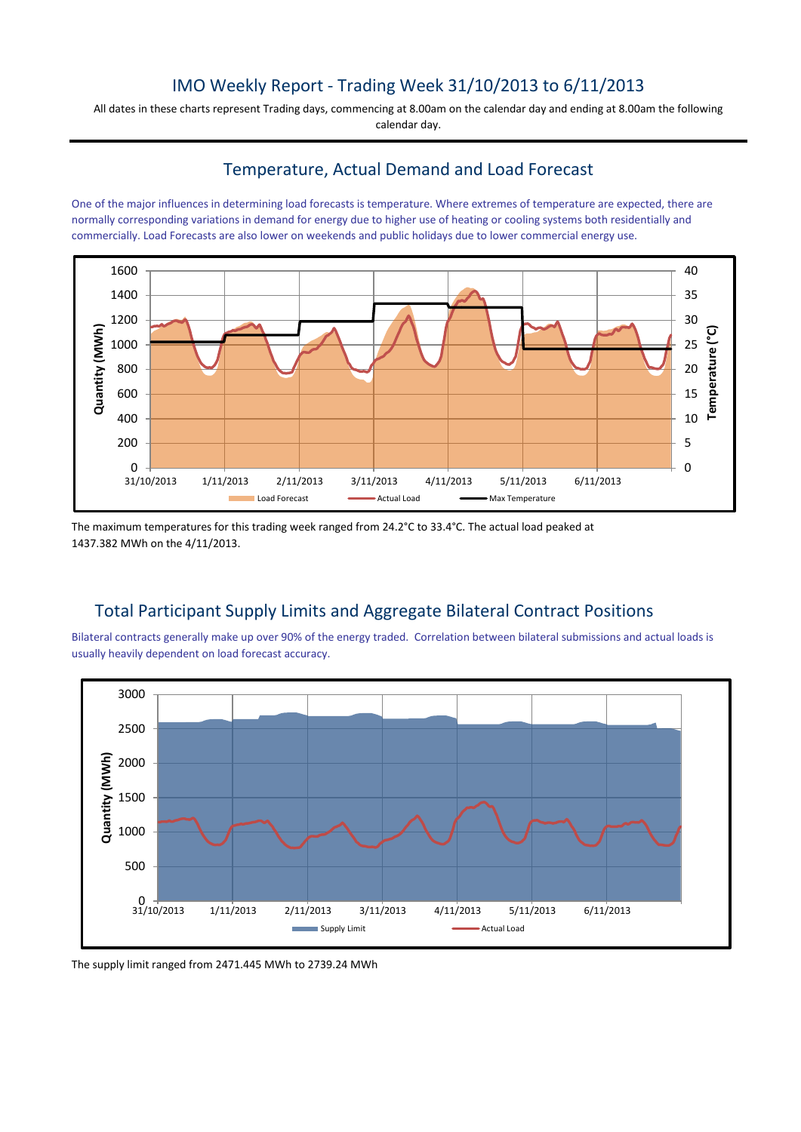# IMO Weekly Report - Trading Week 31/10/2013 to 6/11/2013

All dates in these charts represent Trading days, commencing at 8.00am on the calendar day and ending at 8.00am the following calendar day.

## Temperature, Actual Demand and Load Forecast

One of the major influences in determining load forecasts is temperature. Where extremes of temperature are expected, there are normally corresponding variations in demand for energy due to higher use of heating or cooling systems both residentially and commercially. Load Forecasts are also lower on weekends and public holidays due to lower commercial energy use.



The maximum temperatures for this trading week ranged from 24.2°C to 33.4°C. The actual load peaked at 1437.382 MWh on the 4/11/2013.

# Total Participant Supply Limits and Aggregate Bilateral Contract Positions

Bilateral contracts generally make up over 90% of the energy traded. Correlation between bilateral submissions and actual loads is usually heavily dependent on load forecast accuracy.



The supply limit ranged from 2471.445 MWh to 2739.24 MWh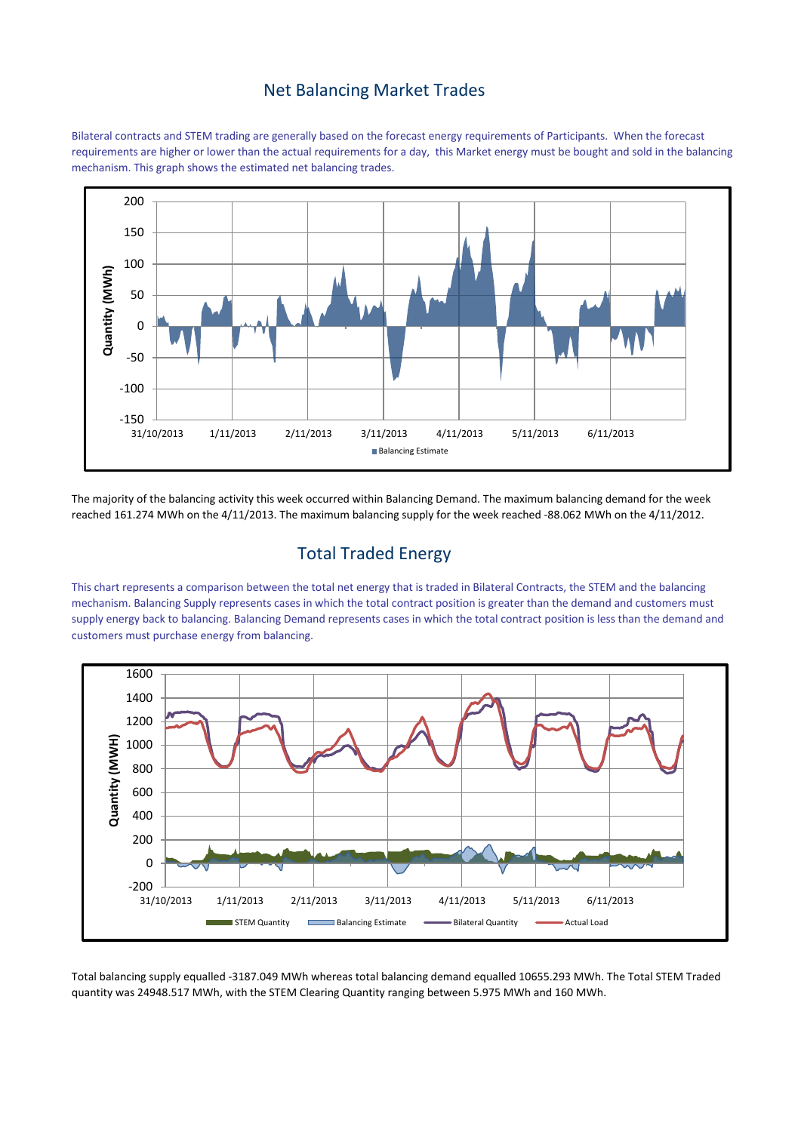#### Net Balancing Market Trades

Bilateral contracts and STEM trading are generally based on the forecast energy requirements of Participants. When the forecast requirements are higher or lower than the actual requirements for a day, this Market energy must be bought and sold in the balancing mechanism. This graph shows the estimated net balancing trades.



The majority of the balancing activity this week occurred within Balancing Demand. The maximum balancing demand for the week reached 161.274 MWh on the 4/11/2013. The maximum balancing supply for the week reached -88.062 MWh on the 4/11/2012.

## Total Traded Energy

This chart represents a comparison between the total net energy that is traded in Bilateral Contracts, the STEM and the balancing mechanism. Balancing Supply represents cases in which the total contract position is greater than the demand and customers must supply energy back to balancing. Balancing Demand represents cases in which the total contract position is less than the demand and customers must purchase energy from balancing.



Total balancing supply equalled -3187.049 MWh whereas total balancing demand equalled 10655.293 MWh. The Total STEM Traded quantity was 24948.517 MWh, with the STEM Clearing Quantity ranging between 5.975 MWh and 160 MWh.